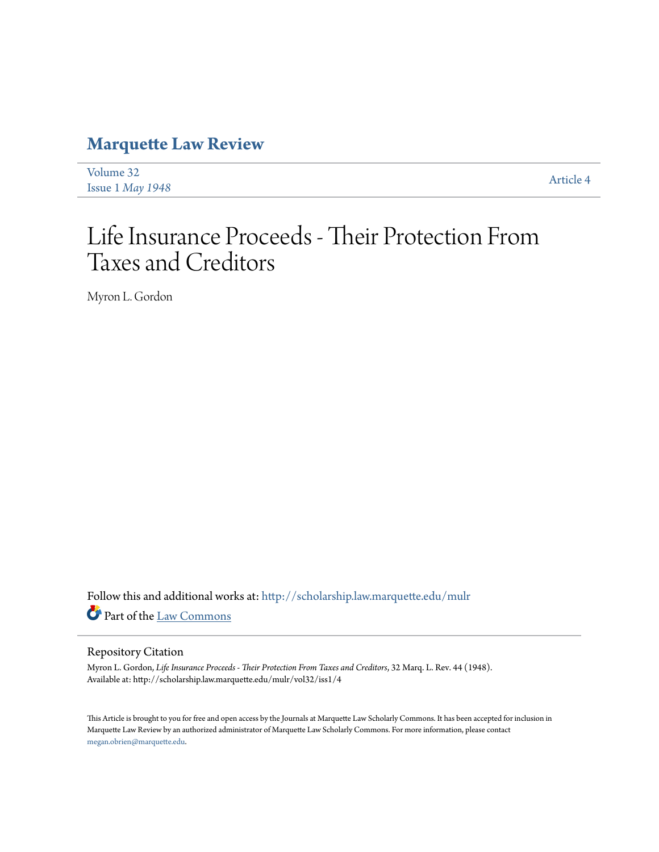## **[Marquette Law Review](http://scholarship.law.marquette.edu/mulr?utm_source=scholarship.law.marquette.edu%2Fmulr%2Fvol32%2Fiss1%2F4&utm_medium=PDF&utm_campaign=PDFCoverPages)**

| Volume 32                 | Article 4 |
|---------------------------|-----------|
| Issue $1$ <i>May</i> 1948 |           |

# Life Insurance Proceeds - Their Protection From Taxes and Creditors

Myron L. Gordon

Follow this and additional works at: [http://scholarship.law.marquette.edu/mulr](http://scholarship.law.marquette.edu/mulr?utm_source=scholarship.law.marquette.edu%2Fmulr%2Fvol32%2Fiss1%2F4&utm_medium=PDF&utm_campaign=PDFCoverPages) Part of the [Law Commons](http://network.bepress.com/hgg/discipline/578?utm_source=scholarship.law.marquette.edu%2Fmulr%2Fvol32%2Fiss1%2F4&utm_medium=PDF&utm_campaign=PDFCoverPages)

#### Repository Citation

Myron L. Gordon, *Life Insurance Proceeds - Their Protection From Taxes and Creditors*, 32 Marq. L. Rev. 44 (1948). Available at: http://scholarship.law.marquette.edu/mulr/vol32/iss1/4

This Article is brought to you for free and open access by the Journals at Marquette Law Scholarly Commons. It has been accepted for inclusion in Marquette Law Review by an authorized administrator of Marquette Law Scholarly Commons. For more information, please contact [megan.obrien@marquette.edu.](mailto:megan.obrien@marquette.edu)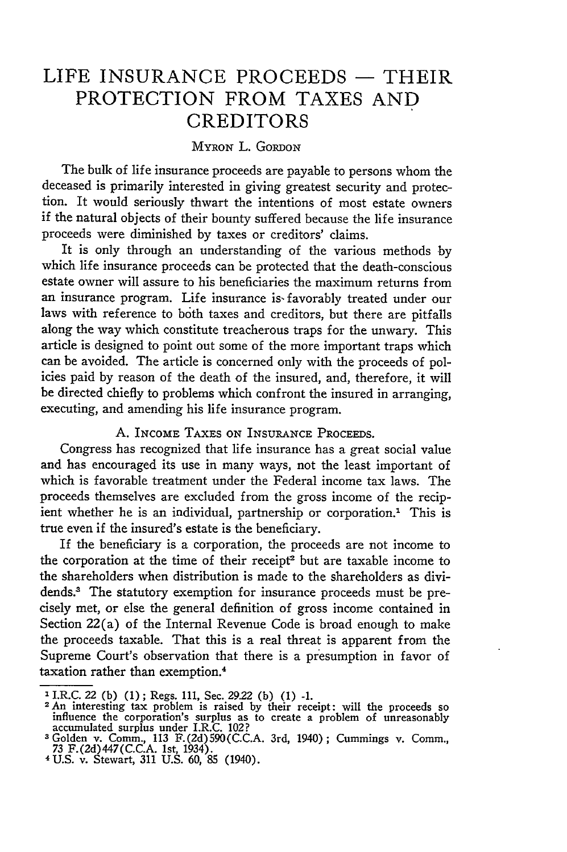### LIFE **INSURANCE** PROCEEDS **-** THEIR PROTECTION FROM **TAXES AND** CREDITORS

#### MYRON L. GORDON

The bulk of life insurance proceeds are payable to persons whom the deceased is primarily interested in giving greatest security and protection. It would seriously thwart the intentions of most estate owners if the natural objects of their bounty suffered because the life insurance proceeds were diminished by taxes or creditors' claims.

It is only through an understanding of the various methods by which life insurance proceeds can be protected that the death-conscious estate owner will assure to his beneficiaries the maximum returns from an insurance program. Life insurance is- favorably treated under our laws with reference to both taxes and creditors, but there are pitfalls along the way which constitute treacherous traps for the unwary. This article is designed to point out some of the more important traps which can be avoided. The article is concerned only with the proceeds of policies paid by reason of the death of the insured, and, therefore, it will be directed chiefly to problems which confront the insured in arranging, executing, and amending his life insurance program.

#### A. INCOME TAXES ON INSURANCE PROCEEDS.

Congress has recognized that life insurance has a great social value and has encouraged its use in many ways, not the least important of which is favorable treatment under the Federal income tax laws. The proceeds themselves are excluded from the gross income of the recipient whether he is an individual, partnership or corporation.<sup>1</sup> This is true even if the insured's estate is the beneficiary.

If the beneficiary is a corporation, the proceeds are not income to the corporation at the time of their receipt<sup>2</sup> but are taxable income to the shareholders when distribution is made to the shareholders as dividends.<sup>3</sup> The statutory exemption for insurance proceeds must be precisely met, or else the general definition of gross income contained in Section 22(a) of the Internal Revenue Code is broad enough to make the proceeds taxable. That this is a real threat is apparent from the Supreme Court's observation that there is a presumption in favor of taxation rather than exemption.<sup>4</sup>

**<sup>1</sup>**I.R.C. 22 (b) (1); Regs. 111, Sec. 29.22 (b) (1) **-1.**

**<sup>2</sup>**An interesting tax problem is raised **by** their receipt: will the proceeds so influence the corporation's surplus as to create a problem of unreasonably accumulated surplus under I.R.C. 102?

**<sup>3</sup>**Golden v. Comm., 113 **F.** (2d) 590(C.C.A. 3rd, 1940); Cummings v. Comm., 73 F.(2d)447(C.C.A. 1st, 1934).

<sup>4</sup> U.S. v. Stewart, **311** U.S. 60, 85 (1940).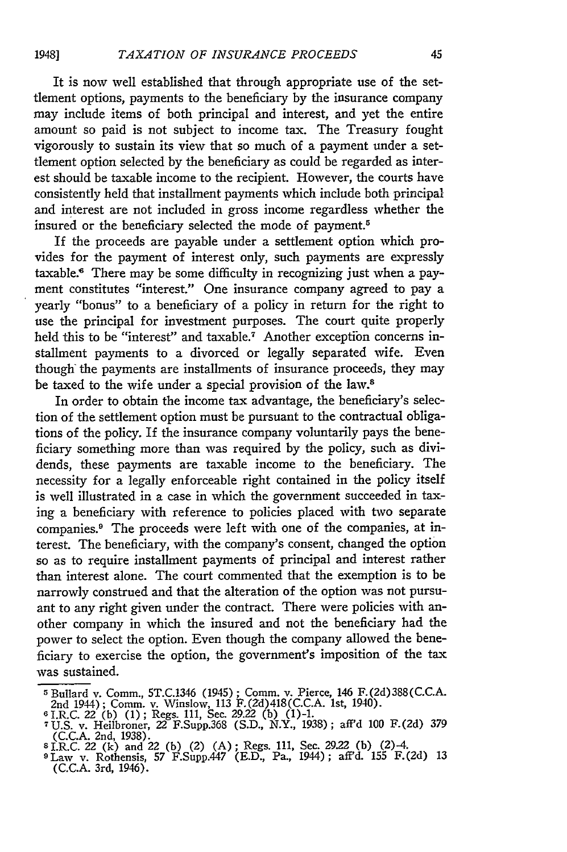It is now well established that through appropriate use of the settlement options, payments to the beneficiary **by** the insurance company may include items of both principal and interest, and yet the entire amount so paid is not subject to income tax. The Treasury fought vigorously to sustain its view that so much of a payment under a settlement option selected **by** the beneficiary as could be regarded as interest should be taxable income to the recipient. However, the courts have consistently held that installment payments which include both principal and interest are not included in gross income regardless whether the insured or the beneficiary selected the mode of payment.5

If the proceeds are payable under a settlement option which provides for the payment of interest only, such payments are expressly taxable.6 There may be some difficulty in recognizing just when a payment constitutes "interest." One insurance company agreed to pay a yearly "bonus" to a beneficiary of a policy in return for the right to use the principal for investment purposes. The court quite properly held this to be "interest" and taxable.<sup>7</sup> Another exception concerns installment payments to a divorced or legally separated wife. Even though the payments are installments of insurance proceeds, they may be taxed to the wife under a special provision of the law.<sup>8</sup>

In order to obtain the income tax advantage, the beneficiary's selection of the settlement option must be pursuant to the contractual obligations of the policy. If the insurance company voluntarily pays the beneficiary something more than was required **by** the policy, such as dividends, these payments are taxable income to the beneficiary. The necessity for a legally enforceable right contained in the policy itself is well illustrated in a case in which the government succeeded in taxing a beneficiary with reference to policies placed with two separate companies.<sup>9</sup> The proceeds were left with one of the companies, at interest. The beneficiary, with the company's consent, changed the option so as to require installment payments of principal and interest rather than interest alone. The court commented that the exemption is to be narrowly construed and that the alteration of the option was not pursuant to any right given under the contract. There were policies with another company in which the insured and not the beneficiary had the power to select the option. Even though the company allowed the beneficiary to exercise the option, the government's imposition of the tax was sustained.

<sup>&</sup>lt;sup>5</sup> Bullard v. Comm., 5T.C.1346 (1945); Comm. v. Pierce, 146 F.(2d) 388(C.C.A.<br>
<sup>2</sup> 2nd 1944); Comm. v. Winslow, 113 F.(2d) 418(C.C.A. 1st, 1940).<br>
<sup>6</sup> I.R.C. 22 (b) (1); Regs. 111, Sec. 29.22 (b) (1)-1.<br>
<sup>7</sup> U.S. v. Heilb

s I.R.C. 210, 1938).<br>8 I.R.C. 22 (k) and 22 (b) (2) (A); Regs. 111, Sec. 29.22 (b) (2)-4.<br>9 Law v. Rothensis, 57 F.Supp.447 (E.D., Pa., 1944); aff'd. 155 F.(2d) 13

<sup>(</sup>C.C.A. 3rd, 1946).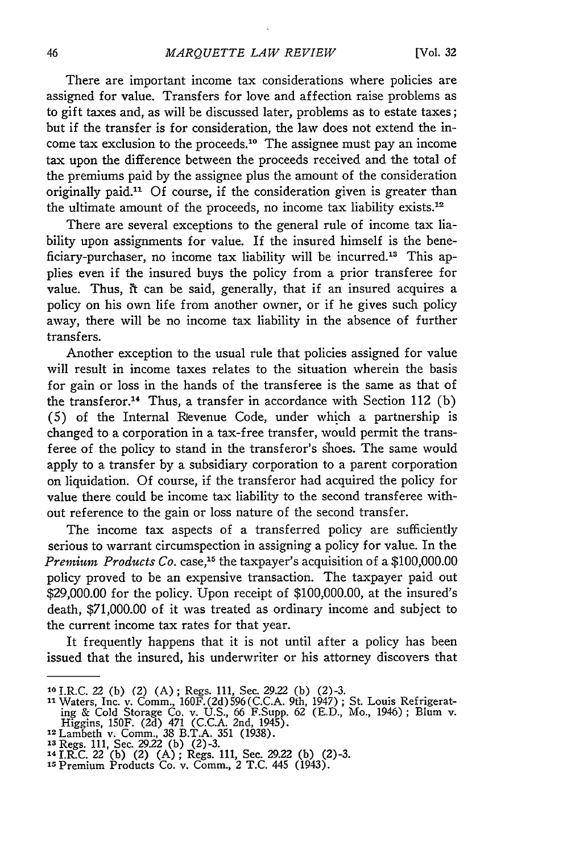There are important income tax considerations where policies are assigned for value. Transfers for love and affection raise problems as to gift taxes and, as will be discussed later, problems as to estate taxes; but if the transfer is for consideration, the law does not extend the income tax exclusion to the proceeds.10 The assignee must pay an income tax upon the difference between the proceeds received and the total of the premiums paid by the assignee plus the amount of the consideration originally paid." Of course, if the consideration given is greater than the ultimate amount of the proceeds, no income tax liability exists.<sup>12</sup>

There are several exceptions to the general rule of income tax liability upon assignments for value. If the insured himself is the beneficiary-purchaser, no income tax liability will be incurred.<sup>13</sup> This applies even if the insured buys the policy from a prior transferee for value. Thus, it can be said, generally, that if an insured acquires a policy on his own life from another owner, or if he gives such policy away, there will be no income tax liability in the absence of further transfers.

Another exception to the usual rule that policies assigned for value will result in income taxes relates to the situation wherein the basis for gain or loss in the hands of the transferee is the same as that of the transferor.<sup>14</sup> Thus, a transfer in accordance with Section 112 (b) (5) of the Internal Revenue Code, under which a partnership is changed to a corporation in a tax-free transfer, would permit the transferee of the policy to stand in the transferor's shoes. The same would apply to a transfer by a subsidiary corporation to a parent corporation on liquidation. Of course, if the transferor had acquired the policy for value there could be income tax liability to the second transferee without reference to the gain or loss nature of the second transfer.

The income tax aspects of a transferred policy are sufficiently serious to warrant circumspection in assigning a policy for value. In the *Premium Products Co.* case,<sup>15</sup> the taxpayer's acquisition of a \$100,000.00 policy proved to be an expensive transaction. The taxpayer paid out \$29,000.00 for the policy. Upon receipt of \$100,000.00, at the insured's death, \$71,000.00 of it was treated as ordinary income and subject to the current income tax rates for that year.

It frequently happens that it is not until after a policy has been issued that the insured, his underwriter or his attorney discovers that

**<sup>10</sup>**I.R.C. 22 (b) (2) (A) ; Regs. 111, Sec. 29.22 (b) (2)-3.

<sup>&</sup>lt;sup>11</sup> Waters, Inc. v. Comm., 160F.(2d)596(C.C.A. 9th, 1947); St. Louis Refrigerating & Cold Storage Co. v. U.S., 66 F.Supp. 62 (E.D., Mo., 1946); Blum v. Higgins, 150F. (2d) 471 (C.C.A. 2nd, 1945). 12Lambeth v. Comm., 38 B.T.A. 351 (1938). **is** Regs. **111,** Sec. 2922 (b) (2)-3.

**<sup>&#</sup>x27;4** I.RtC. 22 (b) (2) (A); Regs. 111, Sec. 29.22 (b) (2)-3. **<sup>15</sup>**Premium Products Co. v. Comm., 2 T.C. 445 (1943).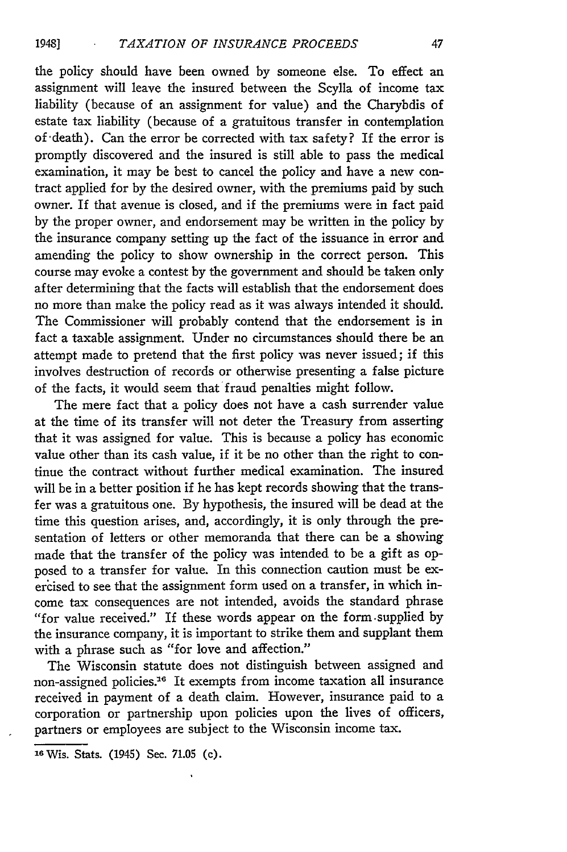the policy should have been owned by someone else. To effect an assignment will leave the insured between the Scylla of income tax liability (because of an assignment for value) and the Charybdis of estate tax liability (because of a gratuitous transfer in contemplation of death). Can the error be corrected with tax safety? If the error is promptly discovered and the insured is still able to pass the medical examination, it may be best to cancel the policy and have a new contract applied for by the desired owner, with the premiums paid by such owner. If that avenue is closed, and if the premiums were in fact paid by the proper owner, and endorsement may be written in the policy by the insurance company setting up the fact of the issuance in error and amending the policy to show ownership in the correct person. This course may evoke a contest by the government and should be taken only after determining that the facts will establish that the endorsement does no more than make the policy read as it was always intended it should. The Commissioner will probably contend that the endorsement is in fact a taxable assignment. Under no circumstances should there be an attempt made to pretend that the first policy was never issued; if this involves destruction of records or otherwise presenting a false picture of the facts, it would seem that fraud penalties might follow.

The mere fact that a policy does not have a cash surrender value at the time of its transfer will not deter the Treasury from asserting that it was assigned for value. This is because a policy has economic value other than its cash value, if it be no other than the right to continue the contract without further medical examination. The insured will be in a better position if he has kept records showing that the transfer was a gratuitous one. By hypothesis, the insured will be dead at the time this question arises, and, accordingly, it is only through the presentation of letters or other memoranda that there can be a showing made that the transfer of the policy was intended to be a gift as opposed to a transfer for value. In this connection caution must be exercised to see that the assignment form used on a transfer, in which income tax consequences are not intended, avoids the standard phrase "for value received." If these words appear on the form.supplied by the insurance company, it is important to strike them and supplant them with a phrase such as "for love and affection."

The Wisconsin statute does not distinguish between assigned and non-assigned policies.<sup>16</sup> It exempts from income taxation all insurance received in payment of a death claim. However, insurance paid to a corporation or partnership upon policies upon the lives of officers, partners or employees are subject to the Wisconsin income tax.

**<sup>16</sup>**Wis. Stats. (1945) Sec. 71.05 (c).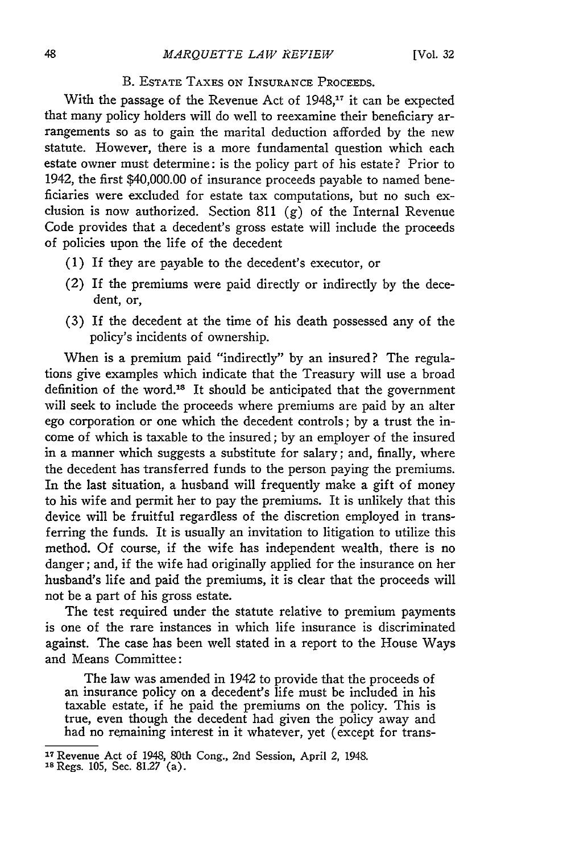#### B. ESTATE **TAXES ON INSURANCE** PROCEEDS.

With the passage of the Revenue Act of 1948,<sup>17</sup> it can be expected that many policy holders will do well to reexamine their beneficiary arrangements so as to gain the marital deduction afforded by the new statute. However, there is a more fundamental question which each estate owner must determine: is the policy part of his estate? Prior to 1942, the first \$40,000.00 of insurance proceeds payable to named beneficiaries were excluded for estate tax computations, but no such exclusion is now authorized. Section 811 (g) of the Internal Revenue Code provides that a decedent's gross estate will include the proceeds of policies upon the life of the decedent

- (1) If they are payable to the decedent's executor, or
- (2) If the premiums were paid directly or indirectly by the decedent, or,
- (3) If the decedent at the time of his death possessed any of the policy's incidents of ownership.

When is a premium paid "indirectly" by an insured? The regulations give examples which indicate that the Treasury will use a broad definition of the word.18 It should be anticipated that the government will seek to include the proceeds where premiums are paid by an alter ego corporation or one which the decedent controls; by a trust the income of which is taxable to the insured; by an employer of the insured in a manner which suggests a substitute for salary; and, finally, where the decedent has transferred funds to the person paying the premiums. In the last situation, a husband will frequently make a gift of money to his wife and permit her to pay the premiums. It is unlikely that this device will be fruitful regardless of the discretion employed in transferring the funds. It is usually an invitation to litigation to utilize this method. Of course, if the wife has independent wealth, there is no danger; and, if the wife had originally applied for the insurance on her husband's life and paid the premiums, it is clear that the proceeds will not be a part of his gross estate.

The test required under the statute relative to premium payments is one of the rare instances in which life insurance is discriminated against. The case has been well stated in a report to the House Ways and Means Committee:

The law was amended in 1942 to provide that the proceeds of an insurance policy on a decedent's life must be included in his taxable estate, if he paid the premiums on the policy. This is true, even though the decedent had given the policy away and had no remaining interest in it whatever, yet (except for trans-

<sup>1</sup> <sup>7</sup> Revenue Act of 1948, 80th Cong., 2nd Session, April 2, 1948. **<sup>18</sup>**Regs. 105, Sec. 81.27 (a).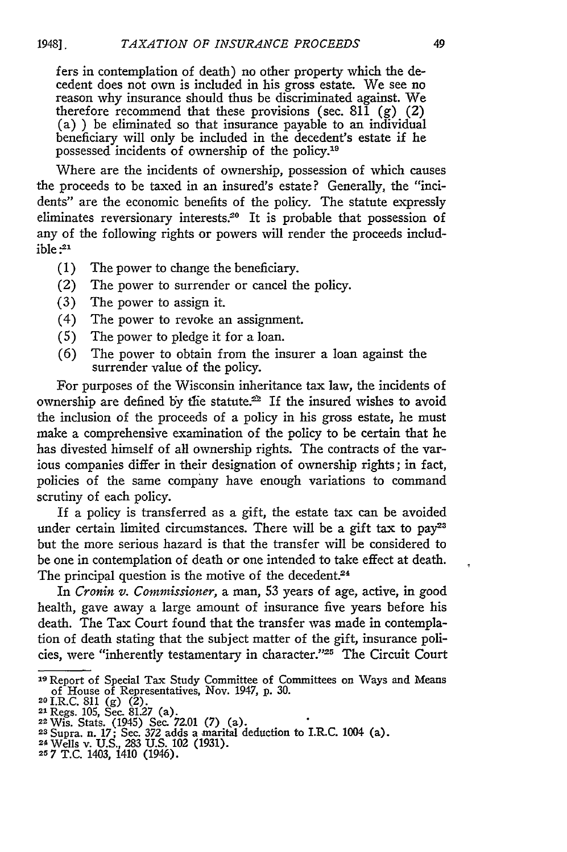fers in contemplation of death) no other property which the decedent does not own is included in his gross estate. We see no reason why insurance should thus be discriminated against. We therefore recommend that these provisions (sec. 811  $(g)$   $(2)$ ) (a) ) be eliminated so that insurance payable to an individual beneficiary will only be included in the decedent's estate if he possessed incidents of ownership of the policy.<sup>19</sup>

Where are the incidents of ownership, possession of which causes the proceeds to be taxed in an insured's estate? Generally, the "incidents" are the economic benefits of the policy. The statute expressly eliminates reversionary interests.<sup>20</sup> It is probable that possession of any of the following rights or powers will render the proceeds includ $ible<sup>.21</sup>$ 

- (1) The power to change the beneficiary.
- (2) The power to surrender or cancel the policy.
- (3) The power to assign it.
- (4) The power to revoke an assignment.
- (5) The power to pledge it for a loan.
- (6) The power to obtain from the insurer a loan against the surrender value of the policy.

For purposes of the Wisconsin inheritance tax law, the incidents of ownership are defined by the statute.<sup>22</sup> If the insured wishes to avoid the inclusion of the proceeds of a policy in his gross estate, he must make a comprehensive examination of the policy to be certain that he has divested himself of all ownership rights. The contracts of the various companies differ in their designation of ownership rights; in fact, policies of the same company have enough variations to command scrutiny of each policy.

If a policy is transferred as a gift, the estate tax can be avoided under certain limited circumstances. There will be a gift tax to **pay2 <sup>3</sup>** but the more serious hazard is that the transfer will be considered to be one in contemplation of death or one intended to take effect at death. The principal question is the motive of the decedent.<sup>24</sup>

In *Cronin* v. *Commissioner,* a man, 53 years of age, active, in good health, gave away a large amount of insurance five years before his death. The Tax Court found that the transfer was made in contemplation of death stating that the subject matter of the gift, insurance policies, were "inherently testamentary in character."<sup>25</sup> The Circuit Court

**<sup>19</sup>**Report of Special Tax Study Committee of Committees on Ways and Means of House of Representatives, Nov. 1947, p. 30. **2OI.R.C. 811 (g)** (2). 21 Regs. 105, Sec. 81.27 (a).

**<sup>22</sup>**Wis. Stats. (1945) Sec. 72.01 **(7)** (a).

<sup>&</sup>lt;sup>23</sup> Supra. n. 17; Sec. 372 adds a marital deduction to I.R.C. 1004 (a)<br><sup>24</sup> Wells v. U.S., 283 U.S. 102 (1931).<br><sup>25</sup> 7 T.C. 1403, 1410 (1946).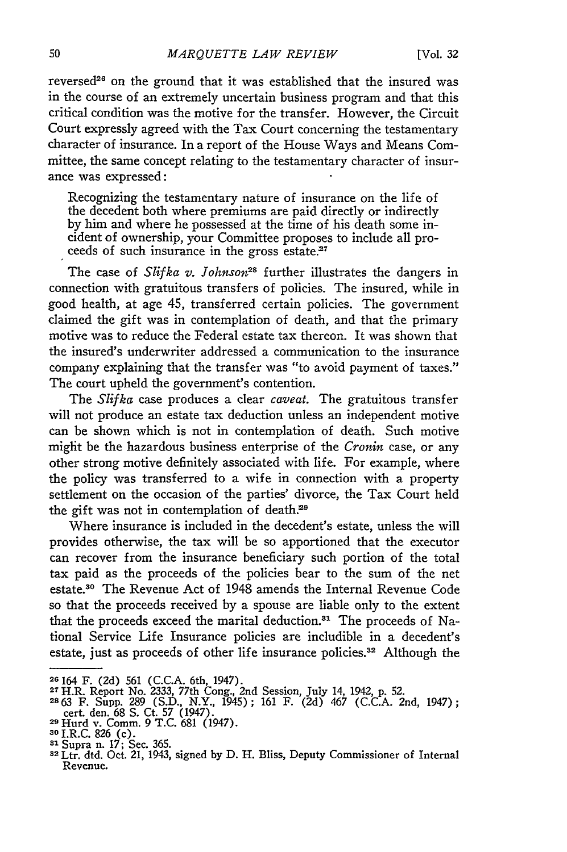reversed<sup>26</sup> on the ground that it was established that the insured was in the course of an extremely uncertain business program and that this critical condition was the motive for the transfer. However, the Circuit Court expressly agreed with the Tax Court concerning the testamentary character of insurance. In a report of the House Ways and Means Committee, the same concept relating to the testamentary character of insurance was expressed:

Recognizing the testamentary nature of insurance on the life of the decedent both where premiums are paid directly or indirectly **by** him and where he possessed at the time of his death some incident of ownership, your Committee proposes to include all proceeds of such insurance in the gross estate.<sup>27</sup>

The case of *Slifka v. Johnson*<sup>28</sup> further illustrates the dangers in connection with gratuitous transfers of policies. The insured, while in good health, at age 45, transferred certain policies. The government claimed the gift was in contemplation of death, and that the primary motive was to reduce the Federal estate tax thereon. It was shown that the insured's underwriter addressed a communication to the insurance company explaining that the transfer was "to avoid payment of taxes." The court upheld the government's contention.

The *Slifka* case produces a clear *caveat.* The gratuitous transfer will not produce an estate tax deduction unless an independent motive can be shown which is not in contemplation of death. Such motive might be the hazardous business enterprise of the *Cronin* case, or any other strong motive definitely associated with life. For example, where the policy was transferred to a wife in connection with a property settlement on the occasion of the parties' divorce, the Tax Court held the gift was not in contemplation of death.<sup>29</sup>

Where insurance is included in the decedent's estate, unless the will provides otherwise, the tax will be so apportioned that the executor can recover from the insurance beneficiary such portion of the total tax paid as the proceeds of the policies bear to the sum of the net estate.30 The Revenue Act of 1948 amends the Internal Revenue Code so that the proceeds received **by** a spouse are liable only to the extent that the proceeds exceed the marital deduction.<sup>31</sup> The proceeds of National Service Life Insurance policies are includible in a decedent's estate, just as proceeds of other life insurance policies.<sup>32</sup> Although the

**<sup>26164</sup>**F. (2d) 561 (C.C.A. 6th, 1947). **<sup>2</sup> <sup>7</sup>**H.R. Report No. 2333, 77th Cong., 2nd Session, July 14, 1942, p. **52.**

**<sup>2663</sup>** F. Supp. 289 (S.D., N.Y., 1945); 161 F. (2d) 467 (C.C.A. 2nd, 1947);

cert. den. 68 S. Ct. 57 (1947). 29 Hurd v. Comm. 9 **T.C.** 681 (1947). **<sup>30</sup>**I.R.C. 826 (c).

**<sup>31</sup> Inc. C. 025**<br><sup>31</sup> Supra n. 17; Sec. 365.<br><sup>32</sup> Ltr. dtd. Oct. 21, 1943, signed by D. H. Bliss, Deputy Commissioner of Internal Revenue.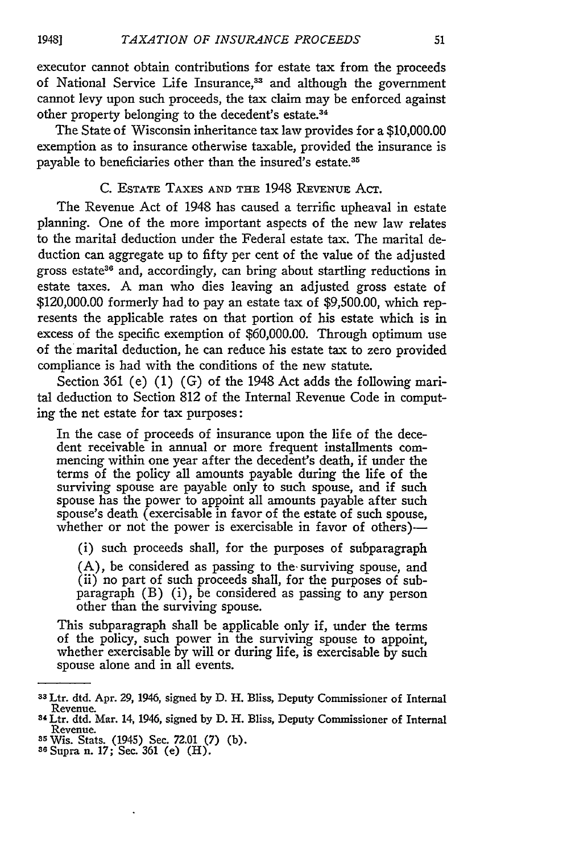executor cannot obtain contributions for estate tax from the proceeds of National Service Life Insurance,<sup>33</sup> and although the government cannot levy upon such proceeds, the tax claim may be enforced against other property belonging to the decedent's estate.34

The State of Wisconsin inheritance tax law provides for a \$10,000.00 exemption as to insurance otherwise taxable, provided the insurance is payable to beneficiaries other than the insured's estate.<sup>35</sup>

#### **C.** ESTATE **TAXES AND** THE 1948 **REVENUE** ACT.

The Revenue Act of 1948 has caused a terrific upheaval in estate planning. One of the more important aspects of the new law relates to the marital deduction under the Federal estate tax. The marital deduction can aggregate up to fifty per cent of the value of the adjusted gross estate<sup>36</sup> and, accordingly, can bring about startling reductions in estate taxes. A man who dies leaving an adjusted gross estate of \$120,000.00 formerly had to pay an estate tax of \$9,500.00, which represents the applicable rates on that portion of his estate which is in excess of the specific exemption of \$60,000.00. Through optimum use of the marital deduction, he can reduce his estate tax to zero provided compliance is had with the conditions of the new statute.

Section 361 (e) (1) (G) of the 1948 Act adds the following marital deduction to Section 812 of the Internal Revenue Code in computing the net estate for tax purposes:

In the case of proceeds of insurance upon the life of the decedent receivable in annual or more frequent installments commencing within one year after the decedent's death, if under the terms of the policy all amounts payable during the life of the surviving spouse are payable only to such spouse, and if such spouse has the power to appoint all amounts payable after such spouse's death (exercisable in favor of the estate of such spouse, whether or not the power is exercisable in favor of others)-

(i) such proceeds shall, for the purposes of subparagraph

(A), be considered as passing to the'surviving spouse, and (ii) no part of such proceeds shall, for the purposes of subparagraph (B) (i), be considered as passing to any person other than the surviving spouse.

This subparagraph shall be applicable only if, under the terms of the policy, such power in the surviving spouse to appoint, whether exercisable **by** will or during life, is exercisable **by** such spouse alone and in all events.

<sup>33</sup> Ltr. dtd. Apr. 29, 1946, signed **by D.** H. Bliss, Deputy Commissioner of Internal Revenue. **<sup>34</sup>**Ltr. dtd. Mar. 14, 1946, signed **by D.** H. Bliss, Deputy Commissioner of Internal

Revenue.

**s5** Wis. Stats. (1945) Sec. **72.01 (7)** (b). **se** Supra n. 17; Sec. 361 (e) (H).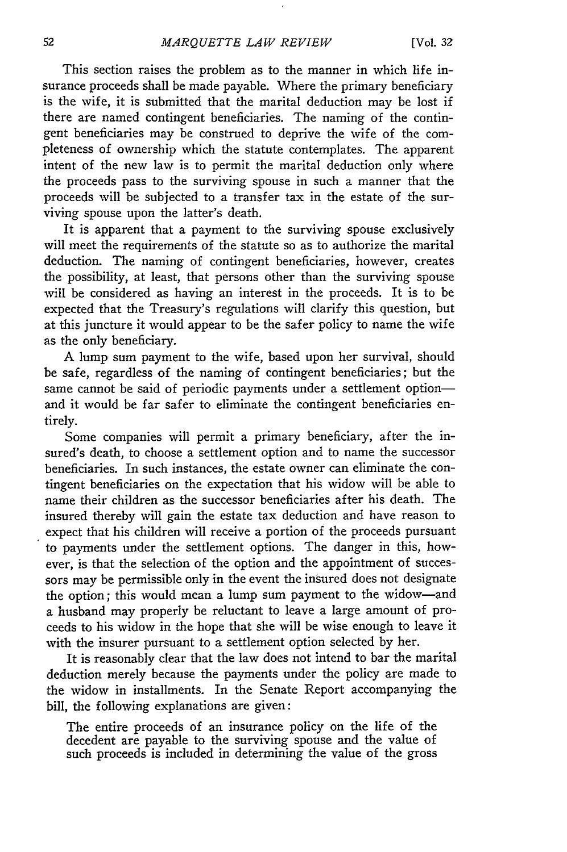This section raises the problem as to the manner in which life insurance proceeds shall be made payable. Where the primary beneficiary is the wife, it is submitted that the marital deduction may be lost if there are named contingent beneficiaries. The naming of the contingent beneficiaries may be construed to deprive the wife of the completeness of ownership which the statute contemplates. The apparent intent of the new law is to permit the marital deduction only where the proceeds pass to the surviving spouse in such a manner that the proceeds will be subjected to a transfer tax in the estate of the surviving spouse upon the latter's death.

It is apparent that a payment to the surviving spouse exclusively will meet the requirements of the statute so as to authorize the marital deduction. The naming of contingent beneficiaries, however, creates the possibility, at least, that persons other than the surviving spouse will be considered as having an interest in the proceeds. It is to be expected that the Treasury's regulations will clarify this question, but at this juncture it would appear to be the safer policy to name the wife as the only beneficiary.

A lump sum payment to the wife, based upon her survival, should be safe, regardless of the naming of contingent beneficiaries; but the same cannot be said of periodic payments under a settlement optionand it would be far safer to eliminate the contingent beneficiaries entirely.

Some companies will permit a primary beneficiary, after the insured's death, to choose a settlement option and to name the successor beneficiaries. In such instances, the estate owner can eliminate the contingent beneficiaries on the expectation that his widow will be able to name their children as the successor beneficiaries after his death. The insured thereby will gain the estate tax deduction and have reason to expect that his children will receive a portion of the proceeds pursuant to payments under the settlement options. The danger in this, however, is that the selection of the option and the appointment of successors may be permissible only in the event the insured does not designate the option; this would mean a lump sum payment to the widow-and a husband may properly be reluctant to leave a large amount of proceeds to his widow in the hope that she will be wise enough to leave it with the insurer pursuant to a settlement option selected by her.

It is reasonably clear that the law does not intend to bar the marital deduction merely because the payments under the policy are made to the widow in installments. In the Senate Report accompanying the bill, the following explanations are given:

The entire proceeds of an insurance policy on the life of the decedent are payable to the surviving spouse and the value of such proceeds is included in determining the value of the gross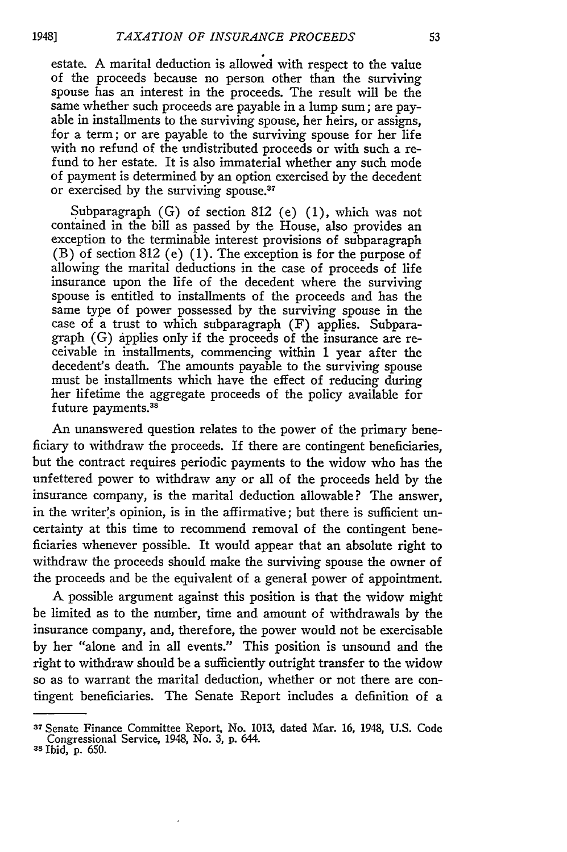estate. A marital deduction is allowed with respect to the value of the proceeds because no person other than the surviving spouse has an interest in the proceeds. The result will be the same whether such proceeds are payable in a lump sum; are payable in installments to the surviving spouse, her heirs, or assigns, for a term; or are payable to the surviving spouse for her life with no refund of the undistributed proceeds or with such a refund to her estate. It is also immaterial whether any such mode of payment is determined by an option exercised by the decedent or exercised by the surviving spouse.<sup>37</sup>

Subparagraph (G) of section 812 (e) (1), which was not contained in the bill as passed by the House, also provides an exception to the terminable interest provisions of subparagraph (B) of section 812 (e) (1). The exception is for the purpose of allowing the marital deductions in the case of proceeds of life insurance upon the life of the decedent where the surviving spouse is entitled to installments of the proceeds and has the same type of power possessed by the surviving spouse in the case of a trust to which subparagraph (F) applies. Subparagraph (G) applies only if the proceeds of the insurance are receivable in installments, commencing within 1 year after the decedent's death. The amounts payable to the surviving spouse must be installments which have the effect of reducing during her lifetime the aggregate proceeds of the policy available for future payments. <sup>38</sup>

An unanswered question relates to the power of the primary beneficiary to withdraw the proceeds. If there are contingent beneficiaries, but the contract requires periodic payments to the widow who has the unfettered power to withdraw any or all of the proceeds held by the insurance company, is the marital deduction allowable? The answer, in the writer's opinion, is in the affirmative; but there is sufficient uncertainty at this time to recommend removal of the contingent beneficiaries whenever possible. It would appear that an absolute right to withdraw the proceeds should make the surviving spouse the owner of the proceeds and be the equivalent of a general power of appointment.

**A** possible argument against this position is that the widow might be limited as to the number, time and amount of withdrawals by the insurance company, and, therefore, the power would not be exercisable by her "alone and in all events." This position is unsound and the right to withdraw should be a sufficiently outright transfer to the widow so as to warrant the marital deduction, whether or not there are contingent beneficiaries. The Senate Report includes a definition of a

19481

<sup>37</sup> Senate Finance Committee Report, No. 1013, dated Mar. 16, 1948, U.S. Code Congressional Service, 1948, No. 3, p. 644. **<sup>38</sup>**Ibid, p. 650.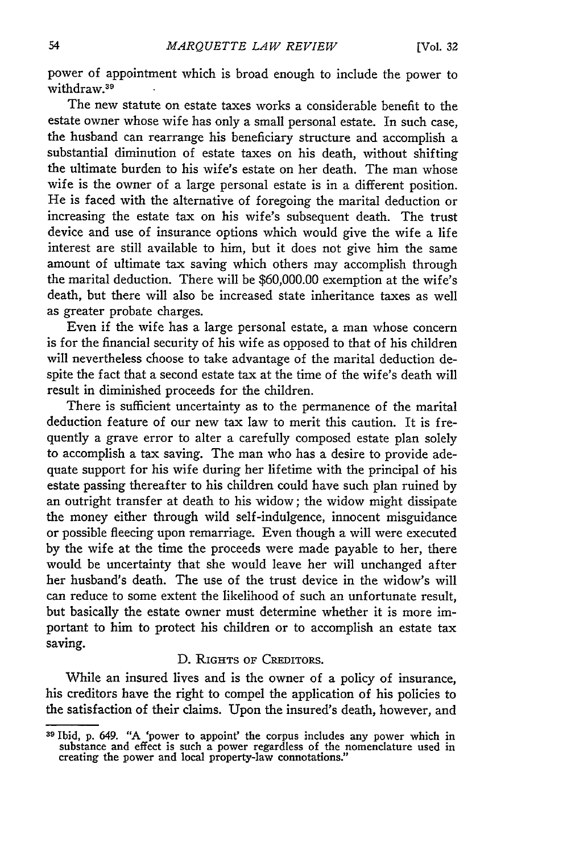power of appointment which is broad enough to include the power to withdraw.<sup>39</sup>

The new statute on estate taxes works a considerable benefit to the estate owner whose wife has only a small personal estate. In such case, the husband can rearrange his beneficiary structure and accomplish a substantial diminution of estate taxes on his death, without shifting the ultimate burden to his wife's estate on her death. The man whose wife is the owner of a large personal estate is in a different position. He is faced with the alternative of foregoing the marital deduction or increasing the estate tax on his wife's subsequent death. The trust device and use of insurance options which would give the wife a life interest are still available to him, but it does not give him the same amount of ultimate tax saving which others may accomplish through the marital deduction. There will be \$60,000.00 exemption at the wife's death, but there will also be increased state inheritance taxes as well as greater probate charges.

Even if the wife has a large personal estate, a man whose concern is for the financial security of his wife as opposed to that of his children will nevertheless choose to take advantage of the marital deduction despite the fact that a second estate tax at the time of the wife's death will result in diminished proceeds for the children.

There is sufficient uncertainty as to the permanence of the marital deduction feature of our new tax law to merit this caution. It is frequently a grave error to alter a carefully composed estate plan solely to accomplish a tax saving. The man who has a desire to provide adequate support for his wife during her lifetime with the principal of his estate passing thereafter to his children could have such plan ruined by an outright transfer at death to his widow; the widow might dissipate the money either through wild self-indulgence, innocent misguidance or possible fleecing upon remarriage. Even though a will were executed by the wife at the time the proceeds were made payable to her, there would be uncertainty that she would leave her will unchanged after her husband's death. The use of the trust device in the widow's will can reduce to some extent the likelihood of such an unfortunate result, but basically the estate owner must determine whether it is more important to him to protect his children or to accomplish an estate tax saving.

#### D. RIGHTS OF CREDITORS.

While an insured lives and is the owner of a policy of insurance, his creditors have the right to compel the application of his policies to the satisfaction of their claims. Upon the insured's death, however, and

**<sup>31</sup>** Ibid, p. 649. "A 'power to appoint' the corpus includes any power which in substance and effect is such a power regardless of the nomenclature used in creating the power and local property-law connotations."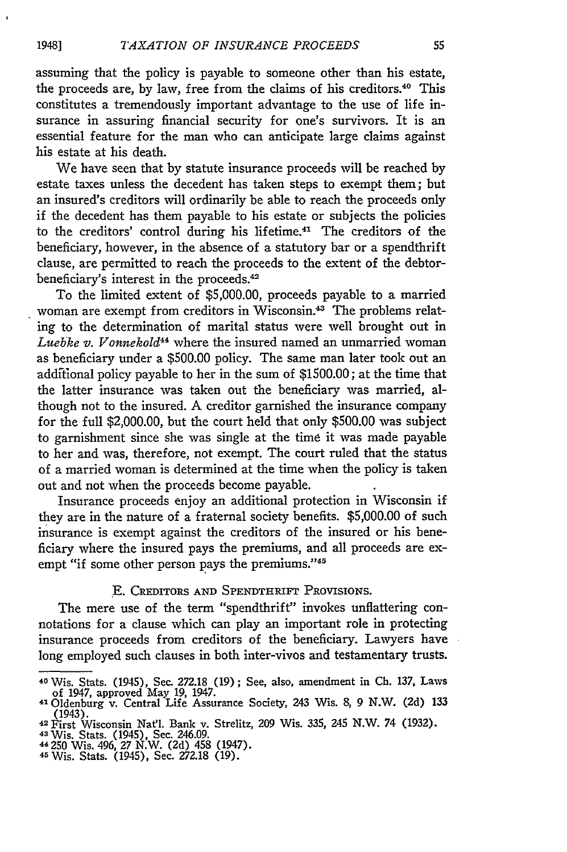assuming that the policy is payable to someone other than his estate, the proceeds are, by law, free from the claims of his creditors."0 This constitutes a tremendously important advantage to the use of life insurance in assuring financial security for one's survivors. It is an essential feature for the man who can anticipate large claims against his estate at his death.

We have seen that by statute insurance proceeds will be reached by estate taxes unless the decedent has taken steps to exempt them; but an insured's creditors will ordinarily be able to reach the proceeds only if the decedent has them payable to his estate or subjects the policies to the creditors' control during his lifetime. 41 The creditors of the beneficiary, however, in the absence of a statutory bar or a spendthrift clause, are permitted to reach the proceeds to the extent of the debtorbeneficiary's interest in the proceeds.<sup>42</sup>

To the limited extent of \$5,000.00, proceeds payable to a married woman are exempt from creditors in Wisconsin.<sup>43</sup> The problems relating to the determination of marital status were well brought out in *Luebke v. Vonnekold"4* where the insured named an unmarried woman as beneficiary under a \$500.00 policy. The same man later took out an addftional policy payable to her in the sum of \$1500.00; at the time that the latter insurance was taken out the beneficiary was married, although not to the insured. A creditor garnished the insurance company for the full \$2,000.00, but the court held that only \$500.00 was subject to garnishment since she was single at the time it was made payable to her and was, therefore, not exempt. The court ruled that the status of a married woman is determined at the time when the policy is taken out and not when the proceeds become payable.

Insurance proceeds enjoy an additional protection in Wisconsin if they are in the nature of a fraternal society benefits. \$5,000.00 of such insurance is exempt against the creditors of the insured or his beneficiary where the insured pays the premiums, and all proceeds are exempt "if some other person pays the premiums."<sup>45</sup>

#### **E.** CREDITORS **AND** SPENDTHRIFT PROVISIONS.

The mere use of the term "spendthrift" invokes unflattering connotations for a clause which can play an important role in protecting insurance proceeds from creditors of the beneficiary. Lawyers have long employed such clauses in both inter-vivos and testamentary trusts.

- 43 Wis. Stats. (1945), Sec. 246.09. 44 250 Wis. 496, 27 N.W. (2d) 458 (1947). <sup>45</sup> Wis. Stats. (1945), Sec. 272.18 (19).
- 

**<sup>40</sup>**Wis. Stats. (1945), Sec. 272.18 (19) **;** See, also, amendment in **Ch.** 137, Laws of 1947, approved May 19, 1947. 41Oldenburg v. Central Life Assurance Society, 243 Wis. 8, 9 N.W. (2d) 133

<sup>(1943).</sup> 42 First Wisconsin Natl. Bank v. Strelitz, **209** Wis. 335, 245 N.W. 74 (1932).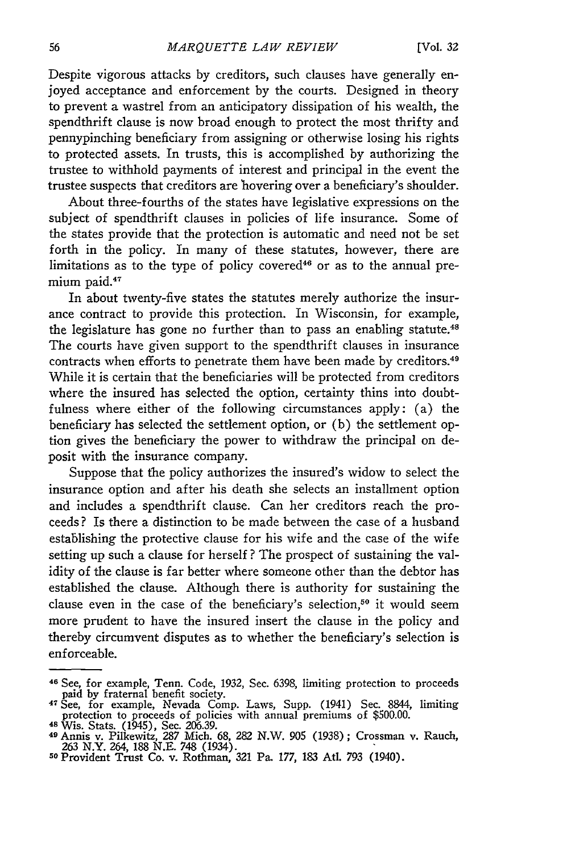Despite vigorous attacks by creditors, such clauses have generally enjoyed acceptance and enforcement by the courts. Designed in theory to prevent a wastrel from an anticipatory dissipation of his wealth, the spendthrift clause is now broad enough to protect the most thrifty and pennypinching beneficiary from assigning or otherwise losing his rights to protected assets. In trusts, this is accomplished by authorizing the trustee to withhold payments of interest and principal in the event the trustee suspects that creditors are hovering over a beneficiary's shoulder.

About three-fourths of the states have legislative expressions on the subject of spendthrift clauses in policies of life insurance. Some of the states provide that the protection is automatic and need not be set forth in the policy. In many of these statutes, however, there are limitations as to the type of policy covered<sup>46</sup> or as to the annual premium paid.<sup>47</sup>

In about twenty-five states the statutes merely authorize the insurance contract to provide this protection. In Wisconsin, for example, the legislature has gone no further than to pass an enabling statute.<sup>48</sup> The courts have given support to the spendthrift clauses in insurance contracts when efforts to penetrate them have been made by creditors. <sup>49</sup> While it is certain that the beneficiaries will be protected from creditors where the insured has selected the option, certainty thins into doubtfulness where either of the following circumstances apply: (a) the beneficiary has selected the settlement option, or (b) the settlement option gives the beneficiary the power to withdraw the principal on deposit with the insurance company.

Suppose that the policy authorizes the insured's widow to select the insurance option and after his death she selects an installment option and includes a spendthrift clause. Can her creditors reach the proceeds? Is there a distinction to be made between the case of a husband establishing the protective clause for his wife and the case of the wife setting up such a clause for herself ? The prospect of sustaining the validity of the clause is far better where someone other than the debtor has established the clause. Although there is authority for sustaining the clause even in the case of the beneficiary's selection,<sup>50</sup> it would seem more prudent to have the insured insert the clause in the policy and thereby circumvent disputes as to whether the beneficiary's selection is enforceable.

**<sup>46</sup>**See, for example, Tenn. Code, 1932, Sec. 6398, limiting protection to proceeds paid by fraternal benefit society.

<sup>4</sup> See, for example, Nevada Comp. Laws, Supp. (1941) Sec. 8844, limiting protection to proceeds of policies with annual premiums of \$500.00.

<sup>48</sup> Wis. Stats. (1945), Sec. 206.39. <sup>49</sup> Annis v. Pilkewitz, 287 Mich. **68,** 282 N.W. 905 (1938); Crossman v. Rauch, 263 N.Y. 264, 188 N.E. 748 (1934).<br><sup>50</sup> Provident Trust Co. v. Rothman, 321 Pa. 177, 183 Atl. 793 (1940).